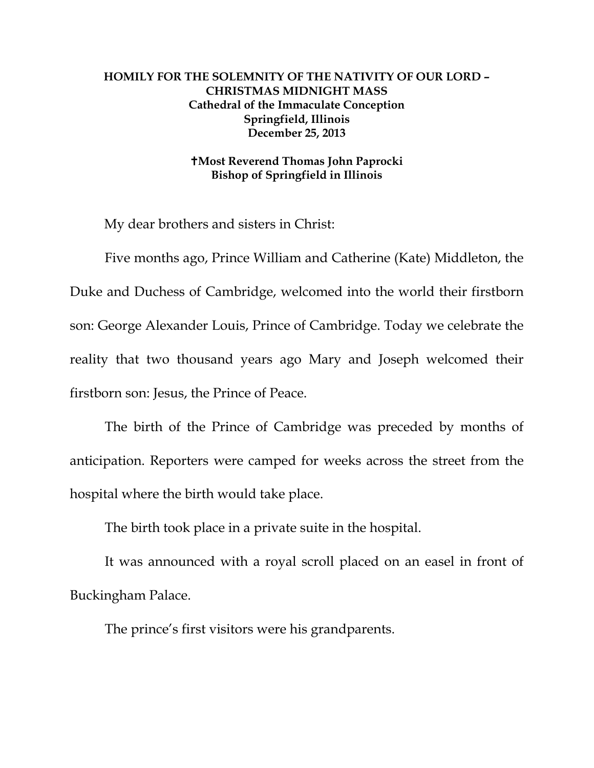## **HOMILY FOR THE SOLEMNITY OF THE NATIVITY OF OUR LORD – CHRISTMAS MIDNIGHT MASS Cathedral of the Immaculate Conception Springfield, Illinois December 25, 2013**

## **Most Reverend Thomas John Paprocki Bishop of Springfield in Illinois**

My dear brothers and sisters in Christ:

 Five months ago, Prince William and Catherine (Kate) Middleton, the Duke and Duchess of Cambridge, welcomed into the world their firstborn son: George Alexander Louis, Prince of Cambridge. Today we celebrate the reality that two thousand years ago Mary and Joseph welcomed their firstborn son: Jesus, the Prince of Peace.

 The birth of the Prince of Cambridge was preceded by months of anticipation. Reporters were camped for weeks across the street from the hospital where the birth would take place.

The birth took place in a private suite in the hospital.

 It was announced with a royal scroll placed on an easel in front of Buckingham Palace.

The prince's first visitors were his grandparents.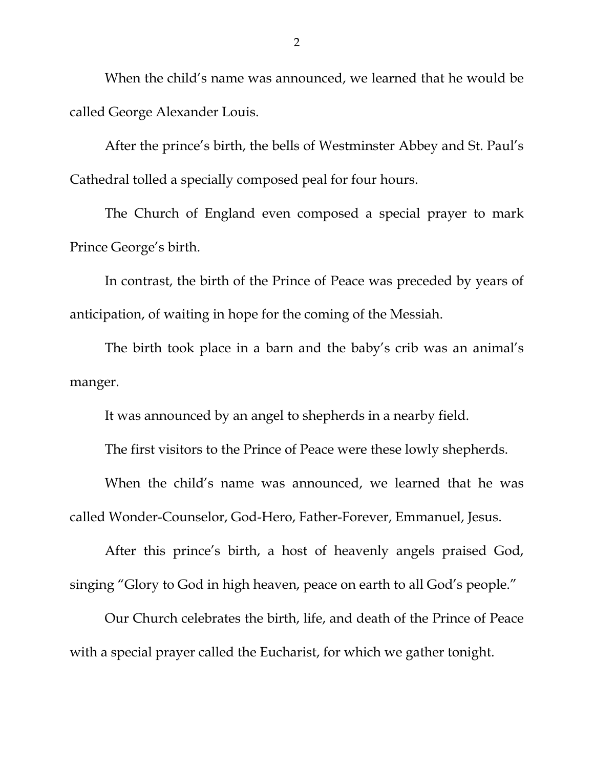When the child's name was announced, we learned that he would be called George Alexander Louis.

 After the prince's birth, the bells of Westminster Abbey and St. Paul's Cathedral tolled a specially composed peal for four hours.

 The Church of England even composed a special prayer to mark Prince George's birth.

 In contrast, the birth of the Prince of Peace was preceded by years of anticipation, of waiting in hope for the coming of the Messiah.

 The birth took place in a barn and the baby's crib was an animal's manger.

It was announced by an angel to shepherds in a nearby field.

The first visitors to the Prince of Peace were these lowly shepherds.

 When the child's name was announced, we learned that he was called Wonder-Counselor, God-Hero, Father-Forever, Emmanuel, Jesus.

 After this prince's birth, a host of heavenly angels praised God, singing "Glory to God in high heaven, peace on earth to all God's people."

 Our Church celebrates the birth, life, and death of the Prince of Peace with a special prayer called the Eucharist, for which we gather tonight.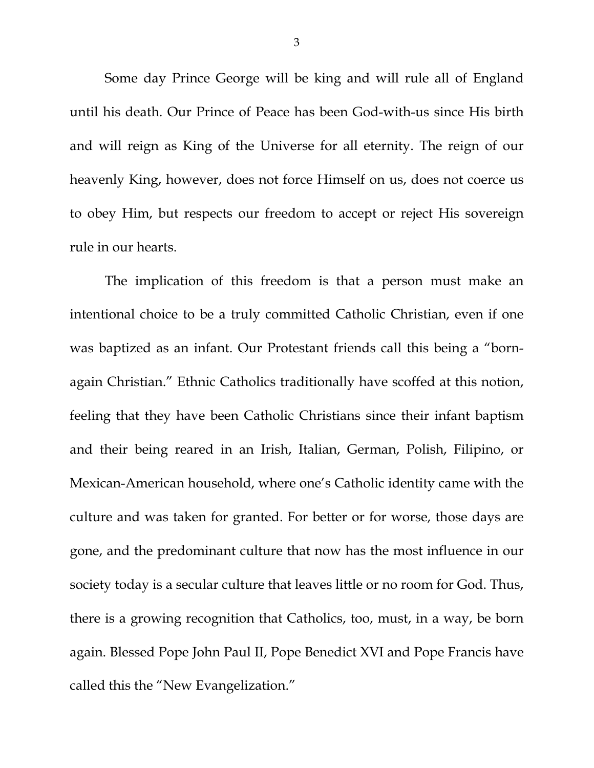Some day Prince George will be king and will rule all of England until his death. Our Prince of Peace has been God-with-us since His birth and will reign as King of the Universe for all eternity. The reign of our heavenly King, however, does not force Himself on us, does not coerce us to obey Him, but respects our freedom to accept or reject His sovereign rule in our hearts.

 The implication of this freedom is that a person must make an intentional choice to be a truly committed Catholic Christian, even if one was baptized as an infant. Our Protestant friends call this being a "bornagain Christian." Ethnic Catholics traditionally have scoffed at this notion, feeling that they have been Catholic Christians since their infant baptism and their being reared in an Irish, Italian, German, Polish, Filipino, or Mexican-American household, where one's Catholic identity came with the culture and was taken for granted. For better or for worse, those days are gone, and the predominant culture that now has the most influence in our society today is a secular culture that leaves little or no room for God. Thus, there is a growing recognition that Catholics, too, must, in a way, be born again. Blessed Pope John Paul II, Pope Benedict XVI and Pope Francis have called this the "New Evangelization."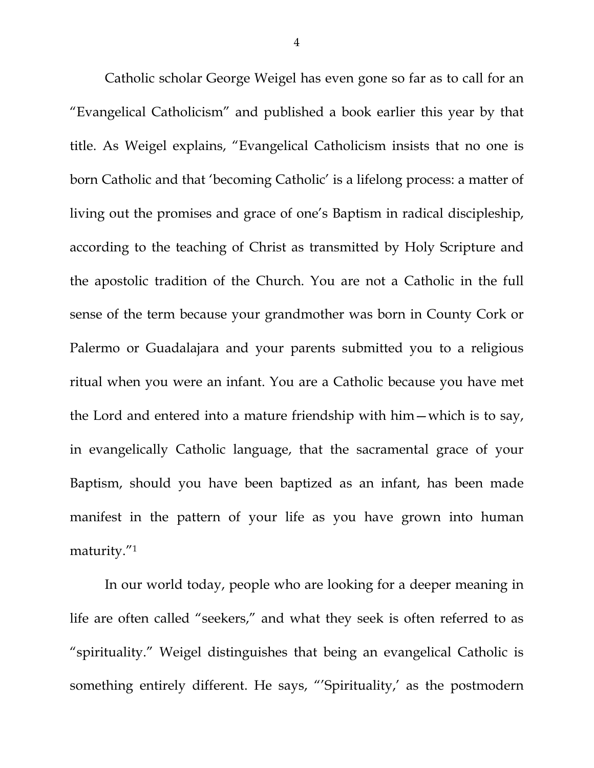Catholic scholar George Weigel has even gone so far as to call for an "Evangelical Catholicism" and published a book earlier this year by that title. As Weigel explains, "Evangelical Catholicism insists that no one is born Catholic and that 'becoming Catholic' is a lifelong process: a matter of living out the promises and grace of one's Baptism in radical discipleship, according to the teaching of Christ as transmitted by Holy Scripture and the apostolic tradition of the Church. You are not a Catholic in the full sense of the term because your grandmother was born in County Cork or Palermo or Guadalajara and your parents submitted you to a religious ritual when you were an infant. You are a Catholic because you have met the Lord and entered into a mature friendship with him—which is to say, in evangelically Catholic language, that the sacramental grace of your Baptism, should you have been baptized as an infant, has been made manifest in the pattern of your life as you have grown into human maturity."1

In our world today, people who are looking for a deeper meaning in life are often called "seekers," and what they seek is often referred to as "spirituality." Weigel distinguishes that being an evangelical Catholic is something entirely different. He says, "'Spirituality,' as the postmodern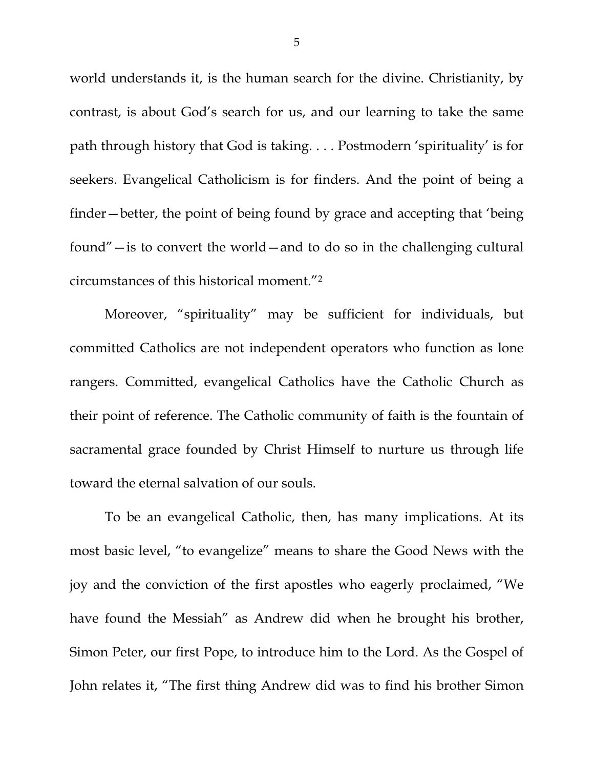world understands it, is the human search for the divine. Christianity, by contrast, is about God's search for us, and our learning to take the same path through history that God is taking. . . . Postmodern 'spirituality' is for seekers. Evangelical Catholicism is for finders. And the point of being a finder—better, the point of being found by grace and accepting that 'being found"—is to convert the world—and to do so in the challenging cultural circumstances of this historical moment."2

Moreover, "spirituality" may be sufficient for individuals, but committed Catholics are not independent operators who function as lone rangers. Committed, evangelical Catholics have the Catholic Church as their point of reference. The Catholic community of faith is the fountain of sacramental grace founded by Christ Himself to nurture us through life toward the eternal salvation of our souls.

To be an evangelical Catholic, then, has many implications. At its most basic level, "to evangelize" means to share the Good News with the joy and the conviction of the first apostles who eagerly proclaimed, "We have found the Messiah" as Andrew did when he brought his brother, Simon Peter, our first Pope, to introduce him to the Lord. As the Gospel of John relates it, "The first thing Andrew did was to find his brother Simon

5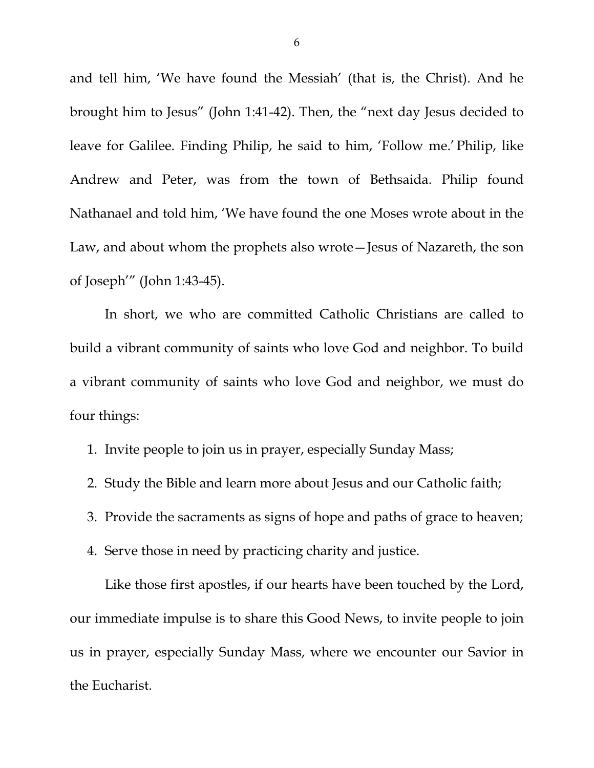and tell him, 'We have found the Messiah' (that is, the Christ). And he brought him to Jesus" (John 1:41-42). Then, the "next day Jesus decided to leave for Galilee. Finding Philip, he said to him, 'Follow me.' Philip, like Andrew and Peter, was from the town of Bethsaida. Philip found Nathanael and told him, 'We have found the one Moses wrote about in the Law, and about whom the prophets also wrote—Jesus of Nazareth, the son of Joseph'" (John 1:43-45).

In short, we who are committed Catholic Christians are called to build a vibrant community of saints who love God and neighbor. To build a vibrant community of saints who love God and neighbor, we must do four things:

1. Invite people to join us in prayer, especially Sunday Mass;

- 2. Study the Bible and learn more about Jesus and our Catholic faith;
- 3. Provide the sacraments as signs of hope and paths of grace to heaven;
- 4. Serve those in need by practicing charity and justice.

 Like those first apostles, if our hearts have been touched by the Lord, our immediate impulse is to share this Good News, to invite people to join us in prayer, especially Sunday Mass, where we encounter our Savior in the Eucharist.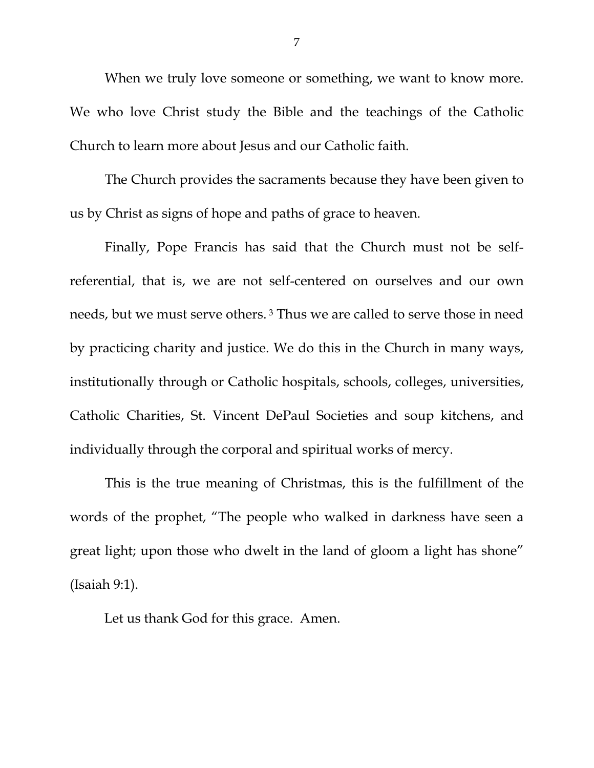When we truly love someone or something, we want to know more. We who love Christ study the Bible and the teachings of the Catholic Church to learn more about Jesus and our Catholic faith.

The Church provides the sacraments because they have been given to us by Christ as signs of hope and paths of grace to heaven.

Finally, Pope Francis has said that the Church must not be selfreferential, that is, we are not self-centered on ourselves and our own needs, but we must serve others. 3 Thus we are called to serve those in need by practicing charity and justice. We do this in the Church in many ways, institutionally through or Catholic hospitals, schools, colleges, universities, Catholic Charities, St. Vincent DePaul Societies and soup kitchens, and individually through the corporal and spiritual works of mercy.

This is the true meaning of Christmas, this is the fulfillment of the words of the prophet, "The people who walked in darkness have seen a great light; upon those who dwelt in the land of gloom a light has shone" (Isaiah 9:1).

Let us thank God for this grace. Amen.